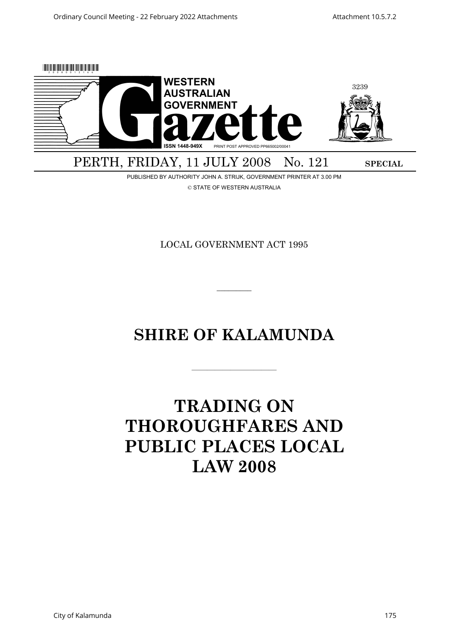

PUBLISHED BY AUTHORITY JOHN A. STRIJK, GOVERNMENT PRINTER AT 3.00 PM © STATE OF WESTERN AUSTRALIA

LOCAL GOVERNMENT ACT 1995

# **SHIRE OF KALAMUNDA**

———————————

 $\overline{\phantom{a}}$ 

# **TRADING ON THOROUGHFARES AND PUBLIC PLACES LOCAL LAW 2008**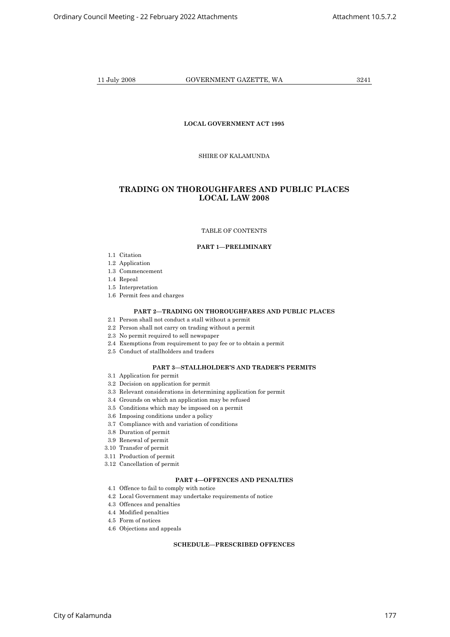# **LOCAL GOVERNMENT ACT 1995**

SHIRE OF KALAMUNDA

# **TRADING ON THOROUGHFARES AND PUBLIC PLACES LOCAL LAW 2008**

## TABLE OF CONTENTS

# **PART 1—PRELIMINARY**

- 1.1 Citation
- 1.2 Application
- 1.3 Commencement
- 1.4 Repeal
- 1.5 Interpretation
- 1.6 Permit fees and charges

# **PART 2—TRADING ON THOROUGHFARES AND PUBLIC PLACES**

- 2.1 Person shall not conduct a stall without a permit
- 2.2 Person shall not carry on trading without a permit
- 2.3 No permit required to sell newspaper
- 2.4 Exemptions from requirement to pay fee or to obtain a permit
- 2.5 Conduct of stallholders and traders

# **PART 3—STALLHOLDER'S AND TRADER'S PERMITS**

- 3.1 Application for permit
- 3.2 Decision on application for permit
- 3.3 Relevant considerations in determining application for permit
- 3.4 Grounds on which an application may be refused
- 3.5 Conditions which may be imposed on a permit
- 3.6 Imposing conditions under a policy
- 3.7 Compliance with and variation of conditions
- 3.8 Duration of permit
- 3.9 Renewal of permit
- 3.10 Transfer of permit
- 3.11 Production of permit
- 3.12 Cancellation of permit

# **PART 4—OFFENCES AND PENALTIES**

- 4.1 Offence to fail to comply with notice
- 4.2 Local Government may undertake requirements of notice
- 4.3 Offences and penalties
- 4.4 Modified penalties
- 4.5 Form of notices
- 4.6 Objections and appeals

# **SCHEDULE—PRESCRIBED OFFENCES**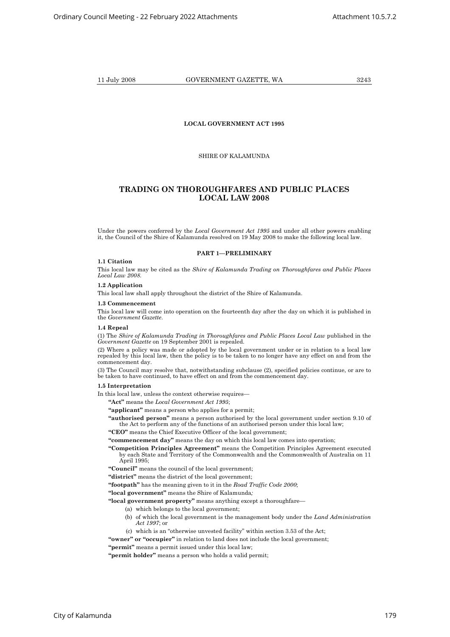# **LOCAL GOVERNMENT ACT 1995**

# SHIRE OF KALAMUNDA

# **TRADING ON THOROUGHFARES AND PUBLIC PLACES LOCAL LAW 2008**

Under the powers conferred by the *Local Government Act 1995* and under all other powers enabling it, the Council of the Shire of Kalamunda resolved on 19 May 2008 to make the following local law.

# **PART 1—PRELIMINARY**

#### **1.1 Citation**

This local law may be cited as the *Shire of Kalamunda Trading on Thoroughfares and Public Places Local Law 2008*.

#### **1.2 Application**

This local law shall apply throughout the district of the Shire of Kalamunda.

#### **1.3 Commencement**

This local law will come into operation on the fourteenth day after the day on which it is published in the *Government Gazette*.

#### **1.4 Repeal**

(1) The *Shire of Kalamunda Trading in Thoroughfares and Public Places Local Law* published in the *Government Gazette* on 19 September 2001 is repealed.

(2) Where a policy was made or adopted by the local government under or in relation to a local law repealed by this local law, then the policy is to be taken to no longer have any effect on and from the commencement day.

(3) The Council may resolve that, notwithstanding subclause (2), specified policies continue, or are to be taken to have continued, to have effect on and from the commencement day.

#### **1.5 Interpretation**

In this local law, unless the context otherwise requires—

**"Act"** means the *Local Government Act 1995*;

**"applicant"** means a person who applies for a permit;

- **"authorised person"** means a person authorised by the local government under section 9.10 of the Act to perform any of the functions of an authorised person under this local law;
- **"CEO"** means the Chief Executive Officer of the local government;
- **"commencement day"** means the day on which this local law comes into operation;
- **"Competition Principles Agreement"** means the Competition Principles Agreement executed by each State and Territory of the Commonwealth and the Commonwealth of Australia on 11 April 1995;
- **"Council"** means the council of the local government;

**"district"** means the district of the local government;

**"footpath"** has the meaning given to it in the *Road Traffic Code 2000*;

**"local government"** means the Shire of Kalamunda*;*

**"local government property"** means anything except a thoroughfare—

- (a) which belongs to the local government;
- (b) of which the local government is the management body under the *Land Administration Act 1997*; or
- (c) which is an "otherwise unvested facility" within section 3.53 of the Act;

"**owner" or "occupier"** in relation to land does not include the local government;

**"permit"** means a permit issued under this local law;

**<sup>&</sup>quot;permit holder"** means a person who holds a valid permit;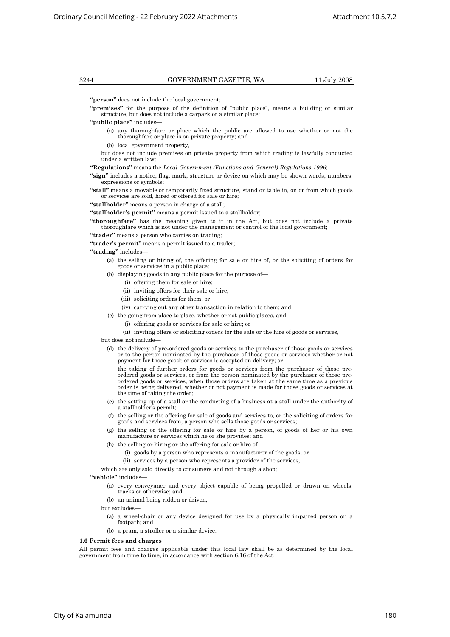3244 GOVERNMENT GAZETTE, WA 11 July 2008

**"person"** does not include the local government;

**"premises"** for the purpose of the definition of "public place", means a building or similar structure, but does not include a carpark or a similar place;

**"public place"** includes—

 (a) any thoroughfare or place which the public are allowed to use whether or not the thoroughfare or place is on private property; and

(b) local government property,

but does not include premises on private property from which trading is lawfully conducted under a written law;

**"Regulations"** means the *Local Government (Functions and General) Regulations 1996*;

**"sign"** includes a notice, flag, mark, structure or device on which may be shown words, numbers, expressions or symbols;

**"stall"** means a movable or temporarily fixed structure, stand or table in, on or from which goods or services are sold, hired or offered for sale or hire;

**"stallholder"** means a person in charge of a stall;

**"stallholder's permit"** means a permit issued to a stallholder;

**"thoroughfare"** has the meaning given to it in the Act, but does not include a private thoroughfare which is not under the management or control of the local government;

**"trader"** means a person who carries on trading;

**"trader's permit"** means a permit issued to a trader;

**"trading"** includes—

 (a) the selling or hiring of, the offering for sale or hire of, or the soliciting of orders for goods or services in a public place;

- (b) displaying goods in any public place for the purpose of—
	- (i) offering them for sale or hire;
	- (ii) inviting offers for their sale or hire;
	- (iii) soliciting orders for them; or
	- (iv) carrying out any other transaction in relation to them; and
- (c) the going from place to place, whether or not public places, and—
	- (i) offering goods or services for sale or hire; or

(ii) inviting offers or soliciting orders for the sale or the hire of goods or services,

but does not include—

 (d) the delivery of pre-ordered goods or services to the purchaser of those goods or services or to the person nominated by the purchaser of those goods or services whether or not payment for those goods or services is accepted on delivery; or

 the taking of further orders for goods or services from the purchaser of those preordered goods or services, or from the person nominated by the purchaser of those preordered goods or services, when those orders are taken at the same time as a previous order is being delivered, whether or not payment is made for those goods or services at the time of taking the order;

- (e) the setting up of a stall or the conducting of a business at a stall under the authority of a stallholder's permit;
- (f) the selling or the offering for sale of goods and services to, or the soliciting of orders for goods and services from, a person who sells those goods or services;
- (g) the selling or the offering for sale or hire by a person, of goods of her or his own manufacture or services which he or she provides; and
	- (h) the selling or hiring or the offering for sale or hire of—
		- (i) goods by a person who represents a manufacturer of the goods; or
		- (ii) services by a person who represents a provider of the services,

which are only sold directly to consumers and not through a shop:

**"vehicle"** includes—

- (a) every conveyance and every object capable of being propelled or drawn on wheels, tracks or otherwise; and
- (b) an animal being ridden or driven,

but excludes—

- (a) a wheel-chair or any device designed for use by a physically impaired person on a footpath; and
- (b) a pram, a stroller or a similar device.

#### **1.6 Permit fees and charges**

All permit fees and charges applicable under this local law shall be as determined by the local government from time to time, in accordance with section 6.16 of the Act.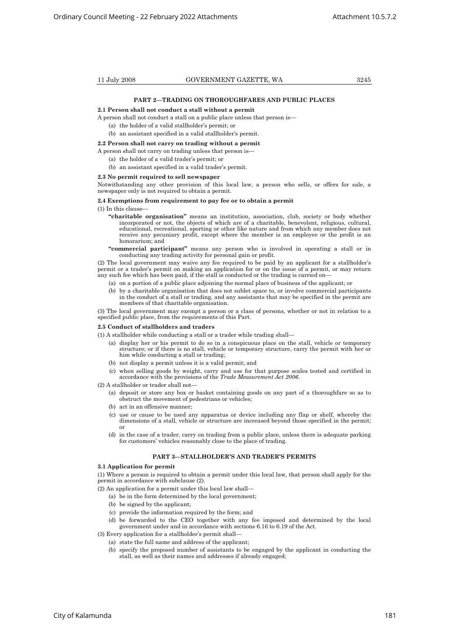#### **PART 2—TRADING ON THOROUGHFARES AND PUBLIC PLACES**

#### **2.1 Person shall not conduct a stall without a permit**

A person shall not conduct a stall on a public place unless that person is—

(a) the holder of a valid stallholder's permit; or

# (b) an assistant specified in a valid stallholder's permit.

# **2.2 Person shall not carry on trading without a permit**

- A person shall not carry on trading unless that person is—
	- (a) the holder of a valid trader's permit; or
	- (b) an assistant specified in a valid trader's permit.

#### **2.3 No permit required to sell newspaper**

Notwithstanding any other provision of this local law, a person who sells, or offers for sale, a newspaper only is not required to obtain a permit.

# **2.4 Exemptions from requirement to pay fee or to obtain a permit**

## (1) In this clause—

- **"charitable organisation"** means an institution, association, club, society or body whether incorporated or not, the objects of which are of a charitable, benevolent, religious, cultural, educational, recreational, sporting or other like nature and from which any member does not receive any pecuniary profit, except where the member is an employee or the profit is an honorarium; and
- **"commercial participant"** means any person who is involved in operating a stall or in conducting any trading activity for personal gain or profit.

(2) The local government may waive any fee required to be paid by an applicant for a stallholder's permit or a trader's permit on making an application for or on the issue of a permit, or may return any such fee which has been paid, if the stall is conducted or the trading is carried on—

- (a) on a portion of a public place adjoining the normal place of business of the applicant; or
- (b) by a charitable organisation that does not sublet space to, or involve commercial participants in the conduct of a stall or trading, and any assistants that may be specified in the permit are members of that charitable organisation.

(3) The local government may exempt a person or a class of persons, whether or not in relation to a specified public place, from the requirements of this Part.

#### **2.5 Conduct of stallholders and traders**

(1) A stallholder while conducting a stall or a trader while trading shall—

- (a) display her or his permit to do so in a conspicuous place on the stall, vehicle or temporary structure; or if there is no stall, vehicle or temporary structure, carry the permit with her or him while conducting a stall or trading;
- (b) not display a permit unless it is a valid permit; and
- (c) when selling goods by weight, carry and use for that purpose scales tested and certified in accordance with the provisions of the *Trade Measurement Act 2006*.
- (2) A stallholder or trader shall not—
	- (a) deposit or store any box or basket containing goods on any part of a thoroughfare so as to obstruct the movement of pedestrians or vehicles;
	- (b) act in an offensive manner;
	- (c) use or cause to be used any apparatus or device including any flap or shelf, whereby the dimensions of a stall, vehicle or structure are increased beyond those specified in the permit; or
	- (d) in the case of a trader, carry on trading from a public place, unless there is adequate parking for customers' vehicles reasonably close to the place of trading.

#### **PART 3—STALLHOLDER'S AND TRADER'S PERMITS**

# **3.1 Application for permit**

(1) Where a person is required to obtain a permit under this local law, that person shall apply for the permit in accordance with subclause (2).

(2) An application for a permit under this local law shall—

- (a) be in the form determined by the local government;
- (b) be signed by the applicant;
- (c) provide the information required by the form; and
- (d) be forwarded to the CEO together with any fee imposed and determined by the local government under and in accordance with sections 6.16 to 6.19 of the Act.

# (3) Every application for a stallholder's permit shall—

- (a) state the full name and address of the applicant;
- (b) specify the proposed number of assistants to be engaged by the applicant in conducting the stall, as well as their names and addresses if already engaged;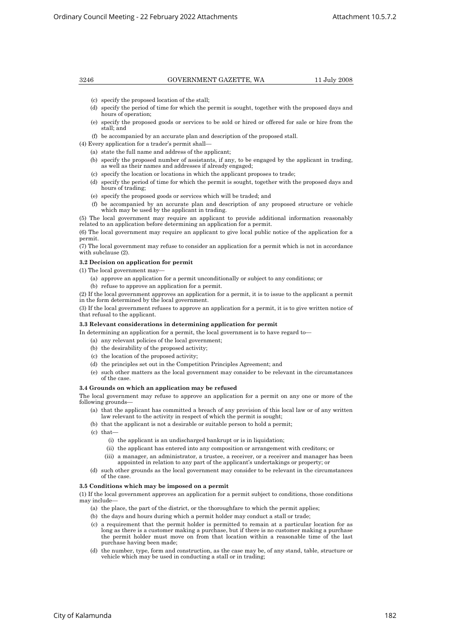3246 GOVERNMENT GAZETTE, WA 11 July 2008

- (c) specify the proposed location of the stall;
- (d) specify the period of time for which the permit is sought, together with the proposed days and hours of operation;
- (e) specify the proposed goods or services to be sold or hired or offered for sale or hire from the stall; and
- (f) be accompanied by an accurate plan and description of the proposed stall.
- (4) Every application for a trader's permit shall—
	- (a) state the full name and address of the applicant;
	- (b) specify the proposed number of assistants, if any, to be engaged by the applicant in trading, as well as their names and addresses if already engaged;
	- (c) specify the location or locations in which the applicant proposes to trade;
	- (d) specify the period of time for which the permit is sought, together with the proposed days and hours of trading;
	- (e) specify the proposed goods or services which will be traded; and
	- (f) be accompanied by an accurate plan and description of any proposed structure or vehicle which may be used by the applicant in trading.

(5) The local government may require an applicant to provide additional information reasonably related to an application before determining an application for a permit.

(6) The local government may require an applicant to give local public notice of the application for a permit.

(7) The local government may refuse to consider an application for a permit which is not in accordance with subclause (2).

### **3.2 Decision on application for permit**

- $(1)$  The local government may-
	- (a) approve an application for a permit unconditionally or subject to any conditions; or
	- (b) refuse to approve an application for a permit.

(2) If the local government approves an application for a permit, it is to issue to the applicant a permit in the form determined by the local government.

(3) If the local government refuses to approve an application for a permit, it is to give written notice of that refusal to the applicant.

#### **3.3 Relevant considerations in determining application for permit**

In determining an application for a permit, the local government is to have regard to—

- (a) any relevant policies of the local government;
- (b) the desirability of the proposed activity;
- (c) the location of the proposed activity;
- (d) the principles set out in the Competition Principles Agreement; and
- (e) such other matters as the local government may consider to be relevant in the circumstances of the case.

### **3.4 Grounds on which an application may be refused**

The local government may refuse to approve an application for a permit on any one or more of the following grounds—

- (a) that the applicant has committed a breach of any provision of this local law or of any written law relevant to the activity in respect of which the permit is sought;
- (b) that the applicant is not a desirable or suitable person to hold a permit;
- (c) that—
	- (i) the applicant is an undischarged bankrupt or is in liquidation;
	- (ii) the applicant has entered into any composition or arrangement with creditors; or
	- (iii) a manager, an administrator, a trustee, a receiver, or a receiver and manager has been appointed in relation to any part of the applicant's undertakings or property; or
- (d) such other grounds as the local government may consider to be relevant in the circumstances of the case.

# **3.5 Conditions which may be imposed on a permit**

(1) If the local government approves an application for a permit subject to conditions, those conditions may include—

- (a) the place, the part of the district, or the thoroughfare to which the permit applies;
- (b) the days and hours during which a permit holder may conduct a stall or trade;
- (c) a requirement that the permit holder is permitted to remain at a particular location for as long as there is a customer making a purchase, but if there is no customer making a purchase the permit holder must move on from that location within a reasonable time of the last purchase having been made;
- (d) the number, type, form and construction, as the case may be, of any stand, table, structure or vehicle which may be used in conducting a stall or in trading;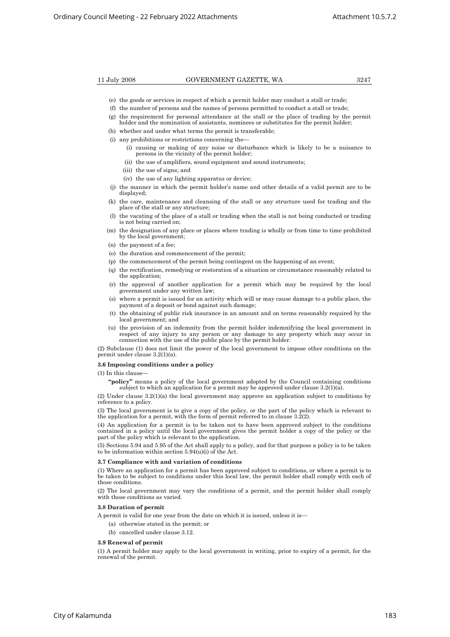- (e) the goods or services in respect of which a permit holder may conduct a stall or trade;
- (f) the number of persons and the names of persons permitted to conduct a stall or trade;
- (g) the requirement for personal attendance at the stall or the place of trading by the permit holder and the nomination of assistants, nominees or substitutes for the permit holder;
- (h) whether and under what terms the permit is transferable;
- (i) any prohibitions or restrictions concerning the—
- (i) causing or making of any noise or disturbance which is likely to be a nuisance to persons in the vicinity of the permit holder;
	- (ii) the use of amplifiers, sound equipment and sound instruments;
	- (iii) the use of signs; and
	- (iv) the use of any lighting apparatus or device;
	- (j) the manner in which the permit holder's name and other details of a valid permit are to be displayed;
	- (k) the care, maintenance and cleansing of the stall or any structure used for trading and the place of the stall or any structure;
	- (l) the vacating of the place of a stall or trading when the stall is not being conducted or trading is not being carried on;
	- (m) the designation of any place or places where trading is wholly or from time to time prohibited by the local government;
	- (n) the payment of a fee;
	- (o) the duration and commencement of the permit;
	- (p) the commencement of the permit being contingent on the happening of an event;
	- (q) the rectification, remedying or restoration of a situation or circumstance reasonably related to the application;
	- (r) the approval of another application for a permit which may be required by the local government under any written law;
	- (s) where a permit is issued for an activity which will or may cause damage to a public place, the payment of a deposit or bond against such damage;
	- (t) the obtaining of public risk insurance in an amount and on terms reasonably required by the local government; and
- (u) the provision of an indemnity from the permit holder indemnifying the local government in respect of any injury to any person or any damage to any property which may occur in connection with the use of the public place by the permit holder.

(2) Subclause (1) does not limit the power of the local government to impose other conditions on the permit under clause 3.2(1)(a).

#### **3.6 Imposing conditions under a policy**

 $(1)$  In this clause

**"policy"** means a policy of the local government adopted by the Council containing conditions subject to which an application for a permit may be approved under clause  $3.2(1)(a)$ .

(2) Under clause  $3.2(1)(a)$  the local government may approve an application subject to conditions by reference to a policy.

(3) The local government is to give a copy of the policy, or the part of the policy which is relevant to the application for a permit, with the form of permit referred to in clause 3.2(2).

(4) An application for a permit is to be taken not to have been approved subject to the conditions contained in a policy until the local government gives the permit holder a copy of the policy or the part of the policy which is relevant to the application.

(5) Sections 5.94 and 5.95 of the Act shall apply to a policy, and for that purpose a policy is to be taken to be information within section  $5.94(u)(i)$  of the Act.

### **3.7 Compliance with and variation of conditions**

(1) Where an application for a permit has been approved subject to conditions, or where a permit is to be taken to be subject to conditions under this local law, the permit holder shall comply with each of those conditions.

(2) The local government may vary the conditions of a permit, and the permit holder shall comply with those conditions as varied.

### **3.8 Duration of permit**

A permit is valid for one year from the date on which it is issued, unless it is—

- (a) otherwise stated in the permit; or
- (b) cancelled under clause 3.12.

# **3.9 Renewal of permit**

(1) A permit holder may apply to the local government in writing, prior to expiry of a permit, for the renewal of the permit.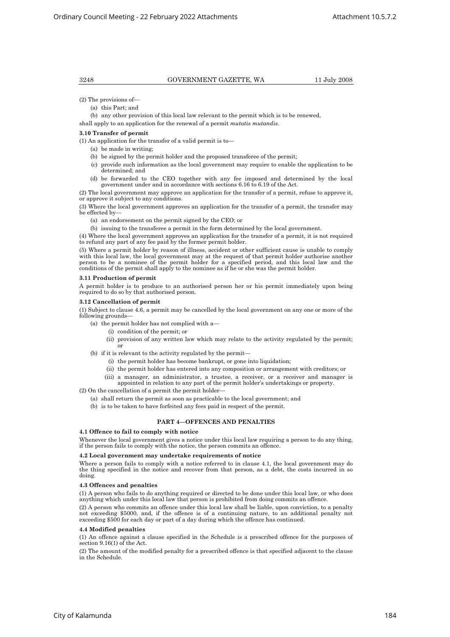# 3248 GOVERNMENT GAZETTE, WA 11 July 2008

- (2) The provisions of—
	- (a) this Part; and
	- (b) any other provision of this local law relevant to the permit which is to be renewed,

shall apply to an application for the renewal of a permit *mutatis mutandis*.

#### **3.10 Transfer of permit**

(1) An application for the transfer of a valid permit is to—

- (a) be made in writing;
- (b) be signed by the permit holder and the proposed transferee of the permit;
- (c) provide such information as the local government may require to enable the application to be determined; and
- (d) be forwarded to the CEO together with any fee imposed and determined by the local government under and in accordance with sections 6.16 to 6.19 of the Act.
- (2) The local government may approve an application for the transfer of a permit, refuse to approve it, or approve it subject to any conditions.

(3) Where the local government approves an application for the transfer of a permit, the transfer may be effected by-

- (a) an endorsement on the permit signed by the CEO; or
- (b) issuing to the transferee a permit in the form determined by the local government.

(4) Where the local government approves an application for the transfer of a permit, it is not required to refund any part of any fee paid by the former permit holder.

(5) Where a permit holder by reason of illness, accident or other sufficient cause is unable to comply with this local law, the local government may at the request of that permit holder authorise another person to be a nominee of the permit holder for a specified period, and this local law and the conditions of the permit shall apply to the nominee as if he or she was the permit holder.

#### **3.11 Production of permit**

A permit holder is to produce to an authorised person her or his permit immediately upon being required to do so by that authorised person.

## **3.12 Cancellation of permit**

(1) Subject to clause 4.6, a permit may be cancelled by the local government on any one or more of the following grounds—

- (a) the permit holder has not complied with a—
	- (i) condition of the permit; or
	- (ii) provision of any written law which may relate to the activity regulated by the permit; or
- (b) if it is relevant to the activity regulated by the permit—
	- (i) the permit holder has become bankrupt, or gone into liquidation;
	- (ii) the permit holder has entered into any composition or arrangement with creditors; or
	- (iii) a manager, an administrator, a trustee, a receiver, or a receiver and manager is appointed in relation to any part of the permit holder's undertakings or property.

 $(2)$  On the cancellation of a permit the permit holder-

- (a) shall return the permit as soon as practicable to the local government; and
- (b) is to be taken to have forfeited any fees paid in respect of the permit.

# **PART 4—OFFENCES AND PENALTIES**

#### **4.1 Offence to fail to comply with notice**

Whenever the local government gives a notice under this local law requiring a person to do any thing, if the person fails to comply with the notice, the person commits an offence.

# **4.2 Local government may undertake requirements of notice**

Where a person fails to comply with a notice referred to in clause 4.1, the local government may do the thing specified in the notice and recover from that person, as a debt, the costs incurred in so doing.

# **4.3 Offences and penalties**

(1) A person who fails to do anything required or directed to be done under this local law, or who does anything which under this local law that person is prohibited from doing commits an offence.

(2) A person who commits an offence under this local law shall be liable, upon conviction, to a penalty not exceeding \$5000, and, if the offence is of a continuing nature, to an additional penalty not exceeding \$500 for each day or part of a day during which the offence has continued.

#### **4.4 Modified penalties**

(1) An offence against a clause specified in the Schedule is a prescribed offence for the purposes of section 9.16(1) of the Act.

(2) The amount of the modified penalty for a prescribed offence is that specified adjacent to the clause in the Schedule.